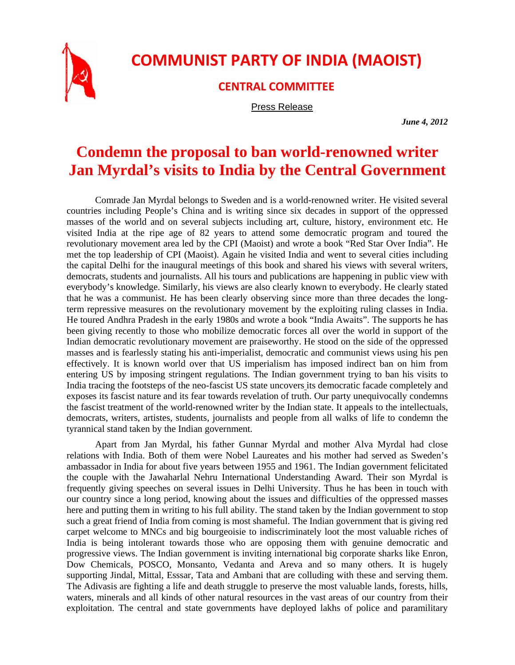

## **COMMUNIST PARTY OF INDIA (MAOIST)**

**CENTRAL COMMITTEE**

Press Release

*June 4, 2012* 

## **Condemn the proposal to ban world-renowned writer Jan Myrdal's visits to India by the Central Government**

Comrade Jan Myrdal belongs to Sweden and is a world-renowned writer. He visited several countries including People's China and is writing since six decades in support of the oppressed masses of the world and on several subjects including art, culture, history, environment etc. He visited India at the ripe age of 82 years to attend some democratic program and toured the revolutionary movement area led by the CPI (Maoist) and wrote a book "Red Star Over India". He met the top leadership of CPI (Maoist). Again he visited India and went to several cities including the capital Delhi for the inaugural meetings of this book and shared his views with several writers, democrats, students and journalists. All his tours and publications are happening in public view with everybody's knowledge. Similarly, his views are also clearly known to everybody. He clearly stated that he was a communist. He has been clearly observing since more than three decades the longterm repressive measures on the revolutionary movement by the exploiting ruling classes in India. He toured Andhra Pradesh in the early 1980s and wrote a book "India Awaits". The supports he has been giving recently to those who mobilize democratic forces all over the world in support of the Indian democratic revolutionary movement are praiseworthy. He stood on the side of the oppressed masses and is fearlessly stating his anti-imperialist, democratic and communist views using his pen effectively. It is known world over that US imperialism has imposed indirect ban on him from entering US by imposing stringent regulations. The Indian government trying to ban his visits to India tracing the footsteps of the neo-fascist US state uncovers its democratic facade completely and exposes its fascist nature and its fear towards revelation of truth. Our party unequivocally condemns the fascist treatment of the world-renowned writer by the Indian state. It appeals to the intellectuals, democrats, writers, artistes, students, journalists and people from all walks of life to condemn the tyrannical stand taken by the Indian government.

Apart from Jan Myrdal, his father Gunnar Myrdal and mother Alva Myrdal had close relations with India. Both of them were Nobel Laureates and his mother had served as Sweden's ambassador in India for about five years between 1955 and 1961. The Indian government felicitated the couple with the Jawaharlal Nehru International Understanding Award. Their son Myrdal is frequently giving speeches on several issues in Delhi University. Thus he has been in touch with our country since a long period, knowing about the issues and difficulties of the oppressed masses here and putting them in writing to his full ability. The stand taken by the Indian government to stop such a great friend of India from coming is most shameful. The Indian government that is giving red carpet welcome to MNCs and big bourgeoisie to indiscriminately loot the most valuable riches of India is being intolerant towards those who are opposing them with genuine democratic and progressive views. The Indian government is inviting international big corporate sharks like Enron, Dow Chemicals, POSCO, Monsanto, Vedanta and Areva and so many others. It is hugely supporting Jindal, Mittal, Esssar, Tata and Ambani that are colluding with these and serving them. The Adivasis are fighting a life and death struggle to preserve the most valuable lands, forests, hills, waters, minerals and all kinds of other natural resources in the vast areas of our country from their exploitation. The central and state governments have deployed lakhs of police and paramilitary